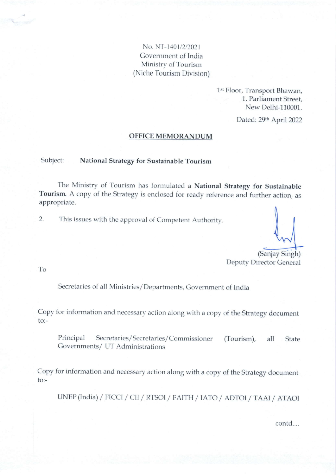# No. N'l-1401/2/2021 Government of India Ministry of Tourism (Niche Tourism Division)

1st Floor, Transport Bhawan, <sup>1</sup>, Parliament Street, New Delhi-110001.

Dated: 29th April 2022

#### OFFICE MEMORANDUM

#### Subject: National Strategy for Sustainablc Tourism

The Ministry of Tourism has formulated a National Strategy for Sustainable Tourism. A copy of the Strategy is enclosed for ready reference and further action, as appropriate.

2. This issues with the approval of Competent Authority.

(Sanjay Singh) Deputy Director General

To

Secretaries of all Ministries/ Departments, Government of India

Copy for information and necessary action along with a copy of the Strategy document to:-

Principal Secretaries/Secretaries/Commissioner (Tourism), all State Governments/ UT Administrations

Copy for information and necessary action along with a copy of the strategy document to:-

UNEP(India) / FICCI / CII / RTSOI / FAITH / IATO / ADTOI / TAAI / ATAOI

contd....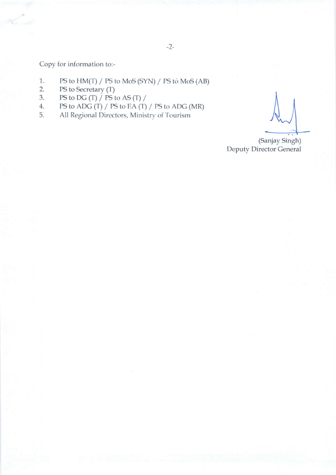Copv for information to:-

- 1. PS to  $HM(T)$  / PS to MoS (SYN) / PS to MoS (AB)<br>2. PS to Secretary (T)
- 2. PS to Secretary  $(T)$ <br>3. PS to DG  $(T)$  / PS t
- 3. PS to DG (T) / PS to AS (T) /<br>4. PS to ADG (T) / PS to EA (T)
- 4. PS to ADG  $(T)$  / PS to EA  $(T)$  / PS to ADG (MR)<br>5. All Regional Directors, Ministry of Tourism
- All Regional Directors, Ministry of Tourism

(Sanjay Singh) Deputy Director General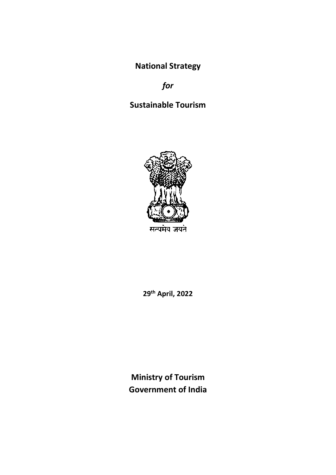**National Strategy**

*for*

# **Sustainable Tourism**



**29th April, 2022**

**Ministry of Tourism Government of India**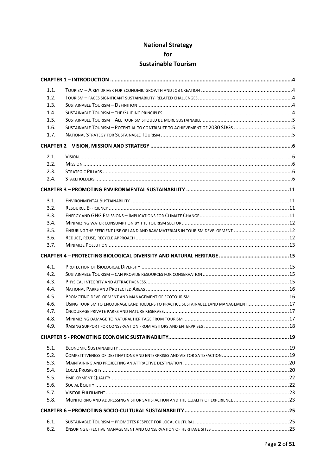# **National Strategy for Sustainable Tourism**

| 1.1. |                                                                                  |  |  |
|------|----------------------------------------------------------------------------------|--|--|
| 1.2. |                                                                                  |  |  |
| 1.3. |                                                                                  |  |  |
| 1.4. |                                                                                  |  |  |
| 1.5. |                                                                                  |  |  |
| 1.6. |                                                                                  |  |  |
| 1.7. |                                                                                  |  |  |
|      |                                                                                  |  |  |
| 2.1. |                                                                                  |  |  |
| 2.2. |                                                                                  |  |  |
| 2.3. |                                                                                  |  |  |
| 2.4. |                                                                                  |  |  |
|      |                                                                                  |  |  |
| 3.1. |                                                                                  |  |  |
| 3.2. |                                                                                  |  |  |
| 3.3. |                                                                                  |  |  |
| 3.4. |                                                                                  |  |  |
| 3.5. | ENSURING THE EFFICIENT USE OF LAND AND RAW MATERIALS IN TOURISM DEVELOPMENT 12   |  |  |
| 3.6. |                                                                                  |  |  |
| 3.7. |                                                                                  |  |  |
|      |                                                                                  |  |  |
| 4.1. |                                                                                  |  |  |
| 4.2. |                                                                                  |  |  |
| 4.3. |                                                                                  |  |  |
| 4.4. |                                                                                  |  |  |
| 4.5. |                                                                                  |  |  |
| 4.6. | USING TOURISM TO ENCOURAGE LANDHOLDERS TO PRACTICE SUSTAINABLE LAND MANAGEMENT17 |  |  |
| 4.7. |                                                                                  |  |  |
| 4.8. |                                                                                  |  |  |
| 4.9. |                                                                                  |  |  |
|      |                                                                                  |  |  |
| 5.1. |                                                                                  |  |  |
| 5.2. |                                                                                  |  |  |
| 5.3. |                                                                                  |  |  |
| 5.4. |                                                                                  |  |  |
| 5.5. |                                                                                  |  |  |
| 5.6. |                                                                                  |  |  |
| 5.7. |                                                                                  |  |  |
| 5.8. | MONITORING AND ADDRESSING VISITOR SATISFACTION AND THE QUALITY OF EXPERIENCE 23  |  |  |
|      |                                                                                  |  |  |
| 6.1. |                                                                                  |  |  |
| 6.2. |                                                                                  |  |  |
|      |                                                                                  |  |  |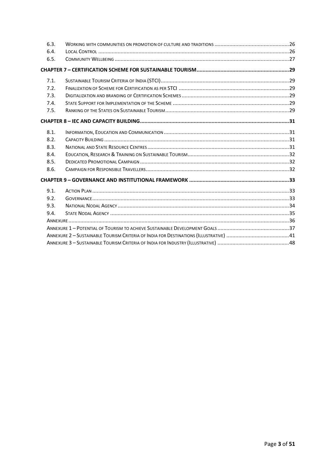| 6.3. |                                                                                                                                                                                                                                                                                                                                       |  |  |
|------|---------------------------------------------------------------------------------------------------------------------------------------------------------------------------------------------------------------------------------------------------------------------------------------------------------------------------------------|--|--|
| 6.4. |                                                                                                                                                                                                                                                                                                                                       |  |  |
| 6.5. |                                                                                                                                                                                                                                                                                                                                       |  |  |
|      |                                                                                                                                                                                                                                                                                                                                       |  |  |
| 7.1. |                                                                                                                                                                                                                                                                                                                                       |  |  |
| 7.2. |                                                                                                                                                                                                                                                                                                                                       |  |  |
| 7.3. |                                                                                                                                                                                                                                                                                                                                       |  |  |
| 7.4. |                                                                                                                                                                                                                                                                                                                                       |  |  |
| 7.5. |                                                                                                                                                                                                                                                                                                                                       |  |  |
|      |                                                                                                                                                                                                                                                                                                                                       |  |  |
| 8.1. |                                                                                                                                                                                                                                                                                                                                       |  |  |
| 8.2. |                                                                                                                                                                                                                                                                                                                                       |  |  |
| 8.3. |                                                                                                                                                                                                                                                                                                                                       |  |  |
| 8.4. |                                                                                                                                                                                                                                                                                                                                       |  |  |
| 8.5. |                                                                                                                                                                                                                                                                                                                                       |  |  |
| 8.6. |                                                                                                                                                                                                                                                                                                                                       |  |  |
|      |                                                                                                                                                                                                                                                                                                                                       |  |  |
| 9.1. |                                                                                                                                                                                                                                                                                                                                       |  |  |
| 9.2. | $G$ OVERNANCE $\ldots$ $\ldots$ $\ldots$ $\ldots$ $\ldots$ $\ldots$ $\ldots$ $\ldots$ $\ldots$ $\ldots$ $\ldots$ $\ldots$ $\ldots$ $\ldots$ $\ldots$ $\ldots$ $\ldots$ $\ldots$ $\ldots$ $\ldots$ $\ldots$ $\ldots$ $\ldots$ $\ldots$ $\ldots$ $\ldots$ $\ldots$ $\ldots$ $\ldots$ $\ldots$ $\ldots$ $\ldots$ $\ldots$ $\ldots$ $\ld$ |  |  |
| 9.3. |                                                                                                                                                                                                                                                                                                                                       |  |  |
| 9.4. |                                                                                                                                                                                                                                                                                                                                       |  |  |
|      |                                                                                                                                                                                                                                                                                                                                       |  |  |
|      |                                                                                                                                                                                                                                                                                                                                       |  |  |
|      |                                                                                                                                                                                                                                                                                                                                       |  |  |
|      |                                                                                                                                                                                                                                                                                                                                       |  |  |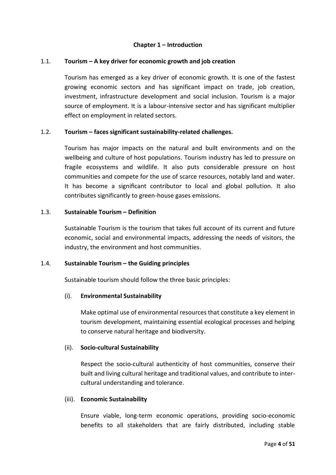#### **Chapter 1 – Introduction**

## <span id="page-5-1"></span><span id="page-5-0"></span>1.1. **Tourism – A key driver for economic growth and job creation**

Tourism has emerged as a key driver of economic growth. It is one of the fastest growing economic sectors and has significant impact on trade, job creation, investment, infrastructure development and social inclusion. Tourism is a major source of employment. It is a labour-intensive sector and has significant multiplier effect on employment in related sectors.

#### <span id="page-5-2"></span>1.2. **Tourism – faces significant sustainability-related challenges.**

Tourism has major impacts on the natural and built environments and on the wellbeing and culture of host populations. Tourism industry has led to pressure on fragile ecosystems and wildlife. It also puts considerable pressure on host communities and compete for the use of scarce resources, notably land and water. It has become a significant contributor to local and global pollution. It also contributes significantly to green-house gases emissions.

#### <span id="page-5-3"></span>1.3. **Sustainable Tourism – Definition**

Sustainable Tourism is the tourism that takes full account of its current and future economic, social and environmental impacts, addressing the needs of visitors, the industry, the environment and host communities.

#### <span id="page-5-4"></span>1.4. **Sustainable Tourism – the Guiding principles**

Sustainable tourism should follow the three basic principles:

#### (i). **Environmental Sustainability**

Make optimal use of environmental resources that constitute a key element in tourism development, maintaining essential ecological processes and helping to conserve natural heritage and biodiversity.

#### (ii). **Socio-cultural Sustainability**

Respect the socio-cultural authenticity of host communities, conserve their built and living cultural heritage and traditional values, and contribute to intercultural understanding and tolerance.

#### (iii). **Economic Sustainability**

Ensure viable, long-term economic operations, providing socio-economic benefits to all stakeholders that are fairly distributed, including stable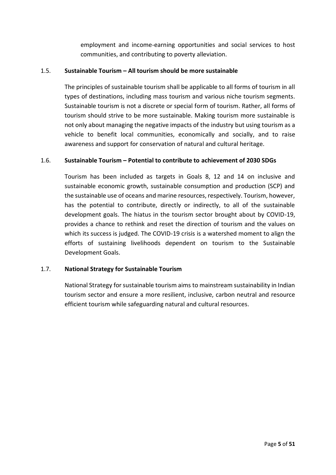employment and income-earning opportunities and social services to host communities, and contributing to poverty alleviation.

# <span id="page-6-0"></span>1.5. **Sustainable Tourism – All tourism should be more sustainable**

The principles of sustainable tourism shall be applicable to all forms of tourism in all types of destinations, including mass tourism and various niche tourism segments. Sustainable tourism is not a discrete or special form of tourism. Rather, all forms of tourism should strive to be more sustainable. Making tourism more sustainable is not only about managing the negative impacts of the industry but using tourism as a vehicle to benefit local communities, economically and socially, and to raise awareness and support for conservation of natural and cultural heritage.

# <span id="page-6-1"></span>1.6. **Sustainable Tourism – Potential to contribute to achievement of 2030 SDGs**

Tourism has been included as targets in Goals 8, 12 and 14 on inclusive and sustainable economic growth, sustainable consumption and production (SCP) and the sustainable use of oceans and marine resources, respectively. Tourism, however, has the potential to contribute, directly or indirectly, to all of the sustainable development goals. The hiatus in the tourism sector brought about by COVID-19, provides a chance to rethink and reset the direction of tourism and the values on which its success is judged. The COVID-19 crisis is a watershed moment to align the efforts of sustaining livelihoods dependent on tourism to the Sustainable Development Goals.

#### <span id="page-6-2"></span>1.7. **National Strategy for Sustainable Tourism**

National Strategy for sustainable tourism aims to mainstream sustainability in Indian tourism sector and ensure a more resilient, inclusive, carbon neutral and resource efficient tourism while safeguarding natural and cultural resources.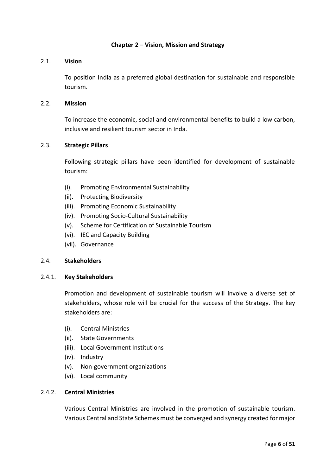#### **Chapter 2 – Vision, Mission and Strategy**

### <span id="page-7-0"></span>2.1. **Vision**

<span id="page-7-1"></span>To position India as a preferred global destination for sustainable and responsible tourism.

#### <span id="page-7-2"></span>2.2. **Mission**

To increase the economic, social and environmental benefits to build a low carbon, inclusive and resilient tourism sector in Inda.

# <span id="page-7-3"></span>2.3. **Strategic Pillars**

Following strategic pillars have been identified for development of sustainable tourism:

- (i). Promoting Environmental Sustainability
- (ii). Protecting Biodiversity
- (iii). Promoting Economic Sustainability
- (iv). Promoting Socio-Cultural Sustainability
- (v). Scheme for Certification of Sustainable Tourism
- (vi). IEC and Capacity Building
- (vii). Governance

#### <span id="page-7-4"></span>2.4. **Stakeholders**

#### 2.4.1. **Key Stakeholders**

Promotion and development of sustainable tourism will involve a diverse set of stakeholders, whose role will be crucial for the success of the Strategy. The key stakeholders are:

- (i). Central Ministries
- (ii). State Governments
- (iii). Local Government Institutions
- (iv). Industry
- (v). Non-government organizations
- (vi). Local community

#### 2.4.2. **Central Ministries**

Various Central Ministries are involved in the promotion of sustainable tourism. Various Central and State Schemes must be converged and synergy created for major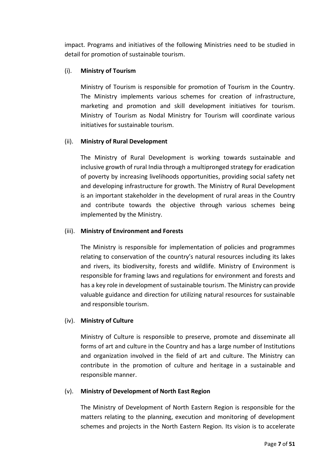impact. Programs and initiatives of the following Ministries need to be studied in detail for promotion of sustainable tourism.

# (i). **Ministry of Tourism**

Ministry of Tourism is responsible for promotion of Tourism in the Country. The Ministry implements various schemes for creation of infrastructure, marketing and promotion and skill development initiatives for tourism. Ministry of Tourism as Nodal Ministry for Tourism will coordinate various initiatives for sustainable tourism.

# (ii). **Ministry of Rural Development**

The Ministry of Rural Development is working towards sustainable and inclusive growth of rural India through a multipronged strategy for eradication of poverty by increasing livelihoods opportunities, providing social safety net and developing infrastructure for growth. The Ministry of Rural Development is an important stakeholder in the development of rural areas in the Country and contribute towards the objective through various schemes being implemented by the Ministry.

# (iii). **Ministry of Environment and Forests**

The Ministry is responsible for implementation of policies and programmes relating to conservation of the country's natural resources including its lakes and rivers, its biodiversity, forests and wildlife. Ministry of Environment is responsible for framing laws and regulations for environment and forests and has a key role in development of sustainable tourism. The Ministry can provide valuable guidance and direction for utilizing natural resources for sustainable and responsible tourism.

#### (iv). **Ministry of Culture**

Ministry of Culture is responsible to preserve, promote and disseminate all forms of art and culture in the Country and has a large number of Institutions and organization involved in the field of art and culture. The Ministry can contribute in the promotion of culture and heritage in a sustainable and responsible manner.

#### (v). **Ministry of Development of North East Region**

The Ministry of Development of North Eastern Region is responsible for the matters relating to the planning, execution and monitoring of development schemes and projects in the North Eastern Region. Its vision is to accelerate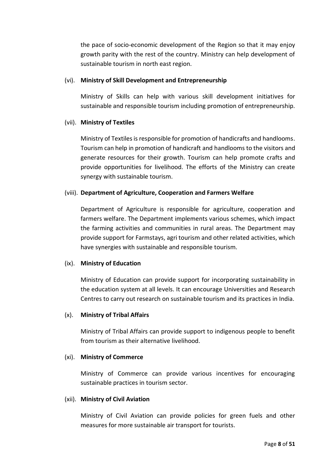the pace of socio-economic development of the Region so that it may enjoy growth parity with the rest of the country. Ministry can help development of sustainable tourism in north east region.

#### (vi). **Ministry of Skill Development and Entrepreneurship**

Ministry of Skills can help with various skill development initiatives for sustainable and responsible tourism including promotion of entrepreneurship.

#### (vii). **Ministry of Textiles**

Ministry of Textiles is responsible for promotion of handicrafts and handlooms. Tourism can help in promotion of handicraft and handlooms to the visitors and generate resources for their growth. Tourism can help promote crafts and provide opportunities for livelihood. The efforts of the Ministry can create synergy with sustainable tourism.

#### (viii). **Department of Agriculture, Cooperation and Farmers Welfare**

Department of Agriculture is responsible for agriculture, cooperation and farmers welfare. The Department implements various schemes, which impact the farming activities and communities in rural areas. The Department may provide support for Farmstays, agri tourism and other related activities, which have synergies with sustainable and responsible tourism.

#### (ix). **Ministry of Education**

Ministry of Education can provide support for incorporating sustainability in the education system at all levels. It can encourage Universities and Research Centres to carry out research on sustainable tourism and its practices in India.

# (x). **Ministry of Tribal Affairs**

Ministry of Tribal Affairs can provide support to indigenous people to benefit from tourism as their alternative livelihood.

#### (xi). **Ministry of Commerce**

Ministry of Commerce can provide various incentives for encouraging sustainable practices in tourism sector.

#### (xii). **Ministry of Civil Aviation**

Ministry of Civil Aviation can provide policies for green fuels and other measures for more sustainable air transport for tourists.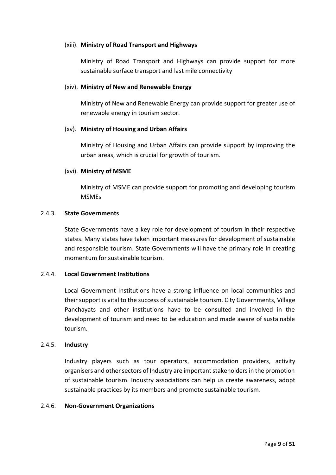#### (xiii). **Ministry of Road Transport and Highways**

Ministry of Road Transport and Highways can provide support for more sustainable surface transport and last mile connectivity

#### (xiv). **Ministry of New and Renewable Energy**

Ministry of New and Renewable Energy can provide support for greater use of renewable energy in tourism sector.

#### (xv). **Ministry of Housing and Urban Affairs**

Ministry of Housing and Urban Affairs can provide support by improving the urban areas, which is crucial for growth of tourism.

#### (xvi). **Ministry of MSME**

Ministry of MSME can provide support for promoting and developing tourism MSMEs

#### 2.4.3. **State Governments**

State Governments have a key role for development of tourism in their respective states. Many states have taken important measures for development of sustainable and responsible tourism. State Governments will have the primary role in creating momentum for sustainable tourism.

### 2.4.4. **Local Government Institutions**

Local Government Institutions have a strong influence on local communities and their support is vital to the success of sustainable tourism. City Governments, Village Panchayats and other institutions have to be consulted and involved in the development of tourism and need to be education and made aware of sustainable tourism.

#### 2.4.5. **Industry**

Industry players such as tour operators, accommodation providers, activity organisers and other sectors of Industry are important stakeholders in the promotion of sustainable tourism. Industry associations can help us create awareness, adopt sustainable practices by its members and promote sustainable tourism.

#### 2.4.6. **Non-Government Organizations**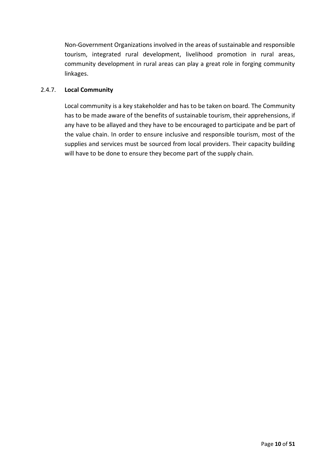Non-Government Organizations involved in the areas of sustainable and responsible tourism, integrated rural development, livelihood promotion in rural areas, community development in rural areas can play a great role in forging community linkages.

# 2.4.7. **Local Community**

Local community is a key stakeholder and has to be taken on board. The Community has to be made aware of the benefits of sustainable tourism, their apprehensions, if any have to be allayed and they have to be encouraged to participate and be part of the value chain. In order to ensure inclusive and responsible tourism, most of the supplies and services must be sourced from local providers. Their capacity building will have to be done to ensure they become part of the supply chain.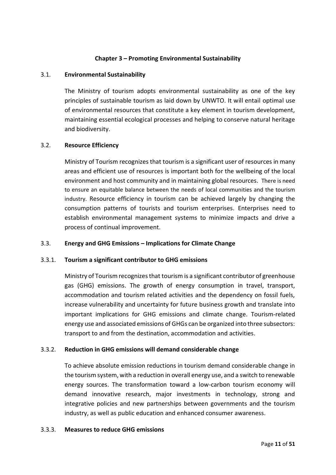# **Chapter 3 – Promoting Environmental Sustainability**

#### <span id="page-12-0"></span>3.1. **Environmental Sustainability**

<span id="page-12-1"></span>The Ministry of tourism adopts environmental sustainability as one of the key principles of sustainable tourism as laid down by UNWTO. It will entail optimal use of environmental resources that constitute a key element in tourism development, maintaining essential ecological processes and helping to conserve natural heritage and biodiversity.

#### <span id="page-12-2"></span>3.2. **Resource Efficiency**

Ministry of Tourism recognizes that tourism is a significant user of resources in many areas and efficient use of resources is important both for the wellbeing of the local environment and host community and in maintaining global resources. There is need to ensure an equitable balance between the needs of local communities and the tourism industry. Resource efficiency in tourism can be achieved largely by changing the consumption patterns of tourists and tourism enterprises. Enterprises need to establish environmental management systems to minimize impacts and drive a process of continual improvement.

#### <span id="page-12-3"></span>3.3. **Energy and GHG Emissions – Implications for Climate Change**

#### 3.3.1. **Tourism a significant contributor to GHG emissions**

Ministry of Tourism recognizes that tourism is a significant contributor of greenhouse gas (GHG) emissions. The growth of energy consumption in travel, transport, accommodation and tourism related activities and the dependency on fossil fuels, increase vulnerability and uncertainty for future business growth and translate into important implications for GHG emissions and climate change. Tourism-related energy use and associated emissions of GHGs can be organized into three subsectors: transport to and from the destination, accommodation and activities.

#### 3.3.2. **Reduction in GHG emissions will demand considerable change**

To achieve absolute emission reductions in tourism demand considerable change in the tourism system, with a reduction in overall energy use, and a switch to renewable energy sources. The transformation toward a low-carbon tourism economy will demand innovative research, major investments in technology, strong and integrative policies and new partnerships between governments and the tourism industry, as well as public education and enhanced consumer awareness.

#### 3.3.3. **Measures to reduce GHG emissions**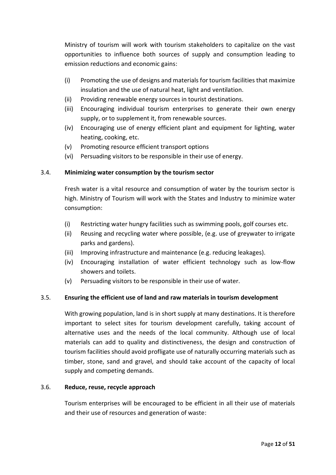Ministry of tourism will work with tourism stakeholders to capitalize on the vast opportunities to influence both sources of supply and consumption leading to emission reductions and economic gains:

- (i) Promoting the use of designs and materials for tourism facilities that maximize insulation and the use of natural heat, light and ventilation.
- (ii) Providing renewable energy sources in tourist destinations.
- (iii) Encouraging individual tourism enterprises to generate their own energy supply, or to supplement it, from renewable sources.
- (iv) Encouraging use of energy efficient plant and equipment for lighting, water heating, cooking, etc.
- (v) Promoting resource efficient transport options
- (vi) Persuading visitors to be responsible in their use of energy.

# <span id="page-13-0"></span>3.4. **Minimizing water consumption by the tourism sector**

Fresh water is a vital resource and consumption of water by the tourism sector is high. Ministry of Tourism will work with the States and Industry to minimize water consumption:

- (i) Restricting water hungry facilities such as swimming pools, golf courses etc.
- (ii) Reusing and recycling water where possible, (e.g. use of greywater to irrigate parks and gardens).
- (iii) Improving infrastructure and maintenance (e.g. reducing leakages).
- (iv) Encouraging installation of water efficient technology such as low-flow showers and toilets.
- (v) Persuading visitors to be responsible in their use of water.

# <span id="page-13-1"></span>3.5. **Ensuring the efficient use of land and raw materials in tourism development**

With growing population, land is in short supply at many destinations. It is therefore important to select sites for tourism development carefully, taking account of alternative uses and the needs of the local community. Although use of local materials can add to quality and distinctiveness, the design and construction of tourism facilities should avoid profligate use of naturally occurring materials such as timber, stone, sand and gravel, and should take account of the capacity of local supply and competing demands.

#### <span id="page-13-2"></span>3.6. **Reduce, reuse, recycle approach**

Tourism enterprises will be encouraged to be efficient in all their use of materials and their use of resources and generation of waste: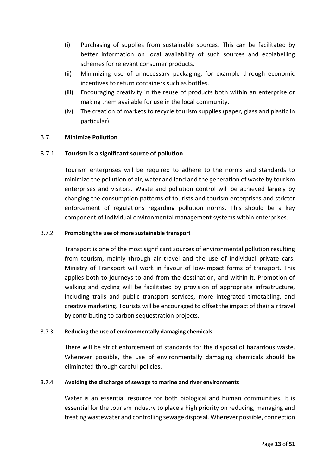- (i) Purchasing of supplies from sustainable sources. This can be facilitated by better information on local availability of such sources and ecolabelling schemes for relevant consumer products.
- (ii) Minimizing use of unnecessary packaging, for example through economic incentives to return containers such as bottles.
- (iii) Encouraging creativity in the reuse of products both within an enterprise or making them available for use in the local community.
- (iv) The creation of markets to recycle tourism supplies (paper, glass and plastic in particular).

# <span id="page-14-0"></span>3.7. **Minimize Pollution**

# 3.7.1. **Tourism is a significant source of pollution**

Tourism enterprises will be required to adhere to the norms and standards to minimize the pollution of air, water and land and the generation of waste by tourism enterprises and visitors. Waste and pollution control will be achieved largely by changing the consumption patterns of tourists and tourism enterprises and stricter enforcement of regulations regarding pollution norms. This should be a key component of individual environmental management systems within enterprises.

#### 3.7.2. **Promoting the use of more sustainable transport**

Transport is one of the most significant sources of environmental pollution resulting from tourism, mainly through air travel and the use of individual private cars. Ministry of Transport will work in favour of low-impact forms of transport. This applies both to journeys to and from the destination, and within it. Promotion of walking and cycling will be facilitated by provision of appropriate infrastructure, including trails and public transport services, more integrated timetabling, and creative marketing. Tourists will be encouraged to offset the impact of their air travel by contributing to carbon sequestration projects.

#### 3.7.3. **Reducing the use of environmentally damaging chemicals**

There will be strict enforcement of standards for the disposal of hazardous waste. Wherever possible, the use of environmentally damaging chemicals should be eliminated through careful policies.

#### 3.7.4. **Avoiding the discharge of sewage to marine and river environments**

Water is an essential resource for both biological and human communities. It is essential for the tourism industry to place a high priority on reducing, managing and treating wastewater and controlling sewage disposal. Wherever possible, connection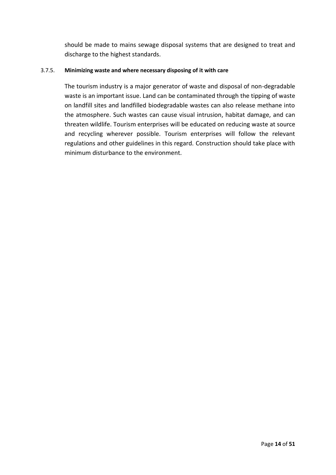should be made to mains sewage disposal systems that are designed to treat and discharge to the highest standards.

#### 3.7.5. **Minimizing waste and where necessary disposing of it with care**

The tourism industry is a major generator of waste and disposal of non-degradable waste is an important issue. Land can be contaminated through the tipping of waste on landfill sites and landfilled biodegradable wastes can also release methane into the atmosphere. Such wastes can cause visual intrusion, habitat damage, and can threaten wildlife. Tourism enterprises will be educated on reducing waste at source and recycling wherever possible. Tourism enterprises will follow the relevant regulations and other guidelines in this regard. Construction should take place with minimum disturbance to the environment.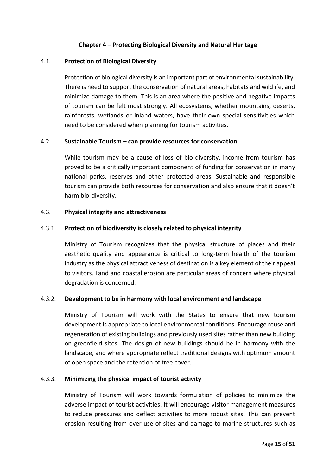# **Chapter 4 – Protecting Biological Diversity and Natural Heritage**

#### <span id="page-16-0"></span>4.1. **Protection of Biological Diversity**

<span id="page-16-1"></span>Protection of biological diversity is an important part of environmental sustainability. There is need to support the conservation of natural areas, habitats and wildlife, and minimize damage to them. This is an area where the positive and negative impacts of tourism can be felt most strongly. All ecosystems, whether mountains, deserts, rainforests, wetlands or inland waters, have their own special sensitivities which need to be considered when planning for tourism activities.

#### <span id="page-16-2"></span>4.2. **Sustainable Tourism – can provide resources for conservation**

While tourism may be a cause of loss of bio-diversity, income from tourism has proved to be a critically important component of funding for conservation in many national parks, reserves and other protected areas. Sustainable and responsible tourism can provide both resources for conservation and also ensure that it doesn't harm bio-diversity.

#### <span id="page-16-3"></span>4.3. **Physical integrity and attractiveness**

#### 4.3.1. **Protection of biodiversity is closely related to physical integrity**

Ministry of Tourism recognizes that the physical structure of places and their aesthetic quality and appearance is critical to long-term health of the tourism industry as the physical attractiveness of destination is a key element of their appeal to visitors. Land and coastal erosion are particular areas of concern where physical degradation is concerned.

#### 4.3.2. **Development to be in harmony with local environment and landscape**

Ministry of Tourism will work with the States to ensure that new tourism development is appropriate to local environmental conditions. Encourage reuse and regeneration of existing buildings and previously used sites rather than new building on greenfield sites. The design of new buildings should be in harmony with the landscape, and where appropriate reflect traditional designs with optimum amount of open space and the retention of tree cover.

#### 4.3.3. **Minimizing the physical impact of tourist activity**

Ministry of Tourism will work towards formulation of policies to minimize the adverse impact of tourist activities. It will encourage visitor management measures to reduce pressures and deflect activities to more robust sites. This can prevent erosion resulting from over-use of sites and damage to marine structures such as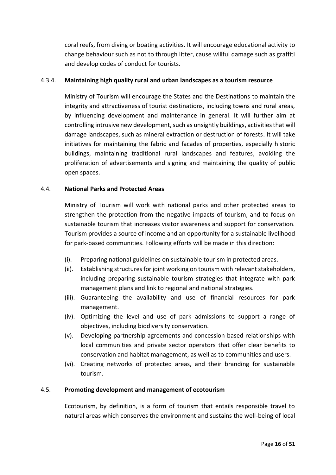coral reefs, from diving or boating activities. It will encourage educational activity to change behaviour such as not to through litter, cause willful damage such as graffiti and develop codes of conduct for tourists.

# 4.3.4. **Maintaining high quality rural and urban landscapes as a tourism resource**

Ministry of Tourism will encourage the States and the Destinations to maintain the integrity and attractiveness of tourist destinations, including towns and rural areas, by influencing development and maintenance in general. It will further aim at controlling intrusive new development, such as unsightly buildings, activities that will damage landscapes, such as mineral extraction or destruction of forests. It will take initiatives for maintaining the fabric and facades of properties, especially historic buildings, maintaining traditional rural landscapes and features, avoiding the proliferation of advertisements and signing and maintaining the quality of public open spaces.

# <span id="page-17-0"></span>4.4. **National Parks and Protected Areas**

Ministry of Tourism will work with national parks and other protected areas to strengthen the protection from the negative impacts of tourism, and to focus on sustainable tourism that increases visitor awareness and support for conservation. Tourism provides a source of income and an opportunity for a sustainable livelihood for park-based communities. Following efforts will be made in this direction:

- (i). Preparing national guidelines on sustainable tourism in protected areas.
- (ii). Establishing structures for joint working on tourism with relevant stakeholders, including preparing sustainable tourism strategies that integrate with park management plans and link to regional and national strategies.
- (iii). Guaranteeing the availability and use of financial resources for park management.
- (iv). Optimizing the level and use of park admissions to support a range of objectives, including biodiversity conservation.
- (v). Developing partnership agreements and concession-based relationships with local communities and private sector operators that offer clear benefits to conservation and habitat management, as well as to communities and users.
- (vi). Creating networks of protected areas, and their branding for sustainable tourism.

#### <span id="page-17-1"></span>4.5. **Promoting development and management of ecotourism**

Ecotourism, by definition, is a form of tourism that entails responsible travel to natural areas which conserves the environment and sustains the well-being of local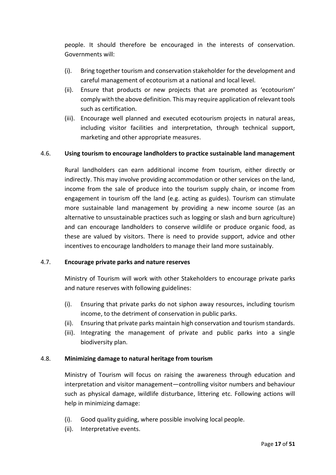people. It should therefore be encouraged in the interests of conservation. Governments will:

- (i). Bring together tourism and conservation stakeholder for the development and careful management of ecotourism at a national and local level.
- (ii). Ensure that products or new projects that are promoted as 'ecotourism' comply with the above definition. This may require application of relevant tools such as certification.
- (iii). Encourage well planned and executed ecotourism projects in natural areas, including visitor facilities and interpretation, through technical support, marketing and other appropriate measures.

# <span id="page-18-0"></span>4.6. **Using tourism to encourage landholders to practice sustainable land management**

Rural landholders can earn additional income from tourism, either directly or indirectly. This may involve providing accommodation or other services on the land, income from the sale of produce into the tourism supply chain, or income from engagement in tourism off the land (e.g. acting as guides). Tourism can stimulate more sustainable land management by providing a new income source (as an alternative to unsustainable practices such as logging or slash and burn agriculture) and can encourage landholders to conserve wildlife or produce organic food, as these are valued by visitors. There is need to provide support, advice and other incentives to encourage landholders to manage their land more sustainably.

#### <span id="page-18-1"></span>4.7. **Encourage private parks and nature reserves**

Ministry of Tourism will work with other Stakeholders to encourage private parks and nature reserves with following guidelines:

- (i). Ensuring that private parks do not siphon away resources, including tourism income, to the detriment of conservation in public parks.
- (ii). Ensuring that private parks maintain high conservation and tourism standards.
- (iii). Integrating the management of private and public parks into a single biodiversity plan.

#### <span id="page-18-2"></span>4.8. **Minimizing damage to natural heritage from tourism**

Ministry of Tourism will focus on raising the awareness through education and interpretation and visitor management—controlling visitor numbers and behaviour such as physical damage, wildlife disturbance, littering etc. Following actions will help in minimizing damage:

- (i). Good quality guiding, where possible involving local people.
- (ii). Interpretative events.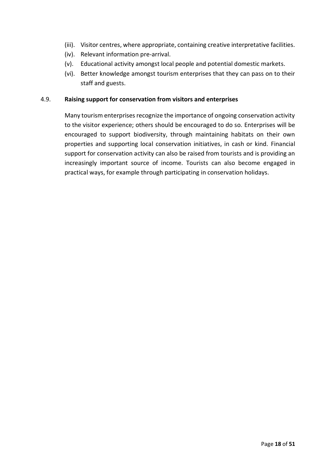- (iii). Visitor centres, where appropriate, containing creative interpretative facilities.
- (iv). Relevant information pre-arrival.
- (v). Educational activity amongst local people and potential domestic markets.
- (vi). Better knowledge amongst tourism enterprises that they can pass on to their staff and guests.

#### <span id="page-19-0"></span>4.9. **Raising support for conservation from visitors and enterprises**

Many tourism enterprises recognize the importance of ongoing conservation activity to the visitor experience; others should be encouraged to do so. Enterprises will be encouraged to support biodiversity, through maintaining habitats on their own properties and supporting local conservation initiatives, in cash or kind. Financial support for conservation activity can also be raised from tourists and is providing an increasingly important source of income. Tourists can also become engaged in practical ways, for example through participating in conservation holidays.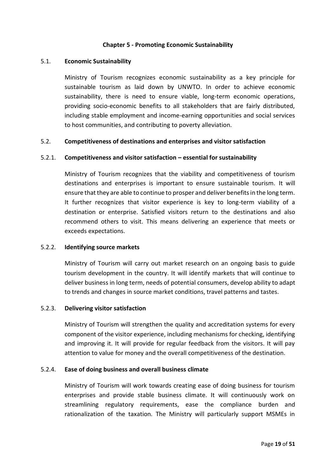#### **Chapter 5 - Promoting Economic Sustainability**

#### <span id="page-20-0"></span>5.1. **Economic Sustainability**

<span id="page-20-1"></span>Ministry of Tourism recognizes economic sustainability as a key principle for sustainable tourism as laid down by UNWTO. In order to achieve economic sustainability, there is need to ensure viable, long-term economic operations, providing socio-economic benefits to all stakeholders that are fairly distributed, including stable employment and income-earning opportunities and social services to host communities, and contributing to poverty alleviation.

#### <span id="page-20-2"></span>5.2. **Competitiveness of destinations and enterprises and visitor satisfaction**

# 5.2.1. **Competitiveness and visitor satisfaction – essential for sustainability**

Ministry of Tourism recognizes that the viability and competitiveness of tourism destinations and enterprises is important to ensure sustainable tourism. It will ensure that they are able to continue to prosper and deliver benefits in the long term. It further recognizes that visitor experience is key to long-term viability of a destination or enterprise. Satisfied visitors return to the destinations and also recommend others to visit. This means delivering an experience that meets or exceeds expectations.

#### 5.2.2. **Identifying source markets**

Ministry of Tourism will carry out market research on an ongoing basis to guide tourism development in the country. It will identify markets that will continue to deliver business in long term, needs of potential consumers, develop ability to adapt to trends and changes in source market conditions, travel patterns and tastes.

#### 5.2.3. **Delivering visitor satisfaction**

Ministry of Tourism will strengthen the quality and accreditation systems for every component of the visitor experience, including mechanisms for checking, identifying and improving it. It will provide for regular feedback from the visitors. It will pay attention to value for money and the overall competitiveness of the destination.

#### 5.2.4. **Ease of doing business and overall business climate**

Ministry of Tourism will work towards creating ease of doing business for tourism enterprises and provide stable business climate. It will continuously work on streamlining regulatory requirements, ease the compliance burden and rationalization of the taxation. The Ministry will particularly support MSMEs in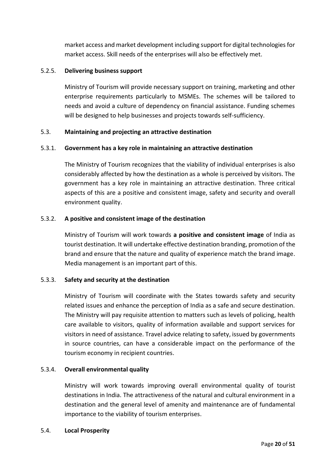market access and market development including support for digital technologies for market access. Skill needs of the enterprises will also be effectively met.

# 5.2.5. **Delivering business support**

Ministry of Tourism will provide necessary support on training, marketing and other enterprise requirements particularly to MSMEs. The schemes will be tailored to needs and avoid a culture of dependency on financial assistance. Funding schemes will be designed to help businesses and projects towards self-sufficiency.

# <span id="page-21-0"></span>5.3. **Maintaining and projecting an attractive destination**

# 5.3.1. **Government has a key role in maintaining an attractive destination**

The Ministry of Tourism recognizes that the viability of individual enterprises is also considerably affected by how the destination as a whole is perceived by visitors. The government has a key role in maintaining an attractive destination. Three critical aspects of this are a positive and consistent image, safety and security and overall environment quality.

# 5.3.2. **A positive and consistent image of the destination**

Ministry of Tourism will work towards **a positive and consistent image** of India as tourist destination. It will undertake effective destination branding, promotion of the brand and ensure that the nature and quality of experience match the brand image. Media management is an important part of this.

#### 5.3.3. **Safety and security at the destination**

Ministry of Tourism will coordinate with the States towards safety and security related issues and enhance the perception of India as a safe and secure destination. The Ministry will pay requisite attention to matters such as levels of policing, health care available to visitors, quality of information available and support services for visitors in need of assistance. Travel advice relating to safety, issued by governments in source countries, can have a considerable impact on the performance of the tourism economy in recipient countries.

#### 5.3.4. **Overall environmental quality**

Ministry will work towards improving overall environmental quality of tourist destinations in India. The attractiveness of the natural and cultural environment in a destination and the general level of amenity and maintenance are of fundamental importance to the viability of tourism enterprises.

#### <span id="page-21-1"></span>5.4. **Local Prosperity**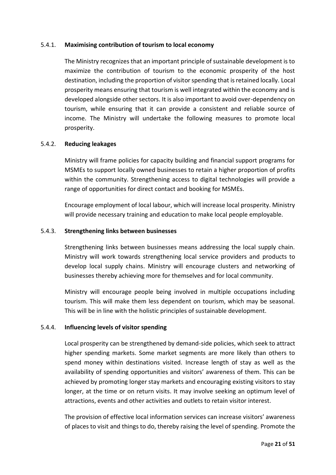#### 5.4.1. **Maximising contribution of tourism to local economy**

The Ministry recognizes that an important principle of sustainable development is to maximize the contribution of tourism to the economic prosperity of the host destination, including the proportion of visitor spending that is retained locally. Local prosperity means ensuring that tourism is well integrated within the economy and is developed alongside other sectors. It is also important to avoid over-dependency on tourism, while ensuring that it can provide a consistent and reliable source of income. The Ministry will undertake the following measures to promote local prosperity.

# 5.4.2. **Reducing leakages**

Ministry will frame policies for capacity building and financial support programs for MSMEs to support locally owned businesses to retain a higher proportion of profits within the community. Strengthening access to digital technologies will provide a range of opportunities for direct contact and booking for MSMEs.

Encourage employment of local labour, which will increase local prosperity. Ministry will provide necessary training and education to make local people employable.

# 5.4.3. **Strengthening links between businesses**

Strengthening links between businesses means addressing the local supply chain. Ministry will work towards strengthening local service providers and products to develop local supply chains. Ministry will encourage clusters and networking of businesses thereby achieving more for themselves and for local community.

Ministry will encourage people being involved in multiple occupations including tourism. This will make them less dependent on tourism, which may be seasonal. This will be in line with the holistic principles of sustainable development.

#### 5.4.4. **Influencing levels of visitor spending**

Local prosperity can be strengthened by demand-side policies, which seek to attract higher spending markets. Some market segments are more likely than others to spend money within destinations visited. Increase length of stay as well as the availability of spending opportunities and visitors' awareness of them. This can be achieved by promoting longer stay markets and encouraging existing visitors to stay longer, at the time or on return visits. It may involve seeking an optimum level of attractions, events and other activities and outlets to retain visitor interest.

The provision of effective local information services can increase visitors' awareness of places to visit and things to do, thereby raising the level of spending. Promote the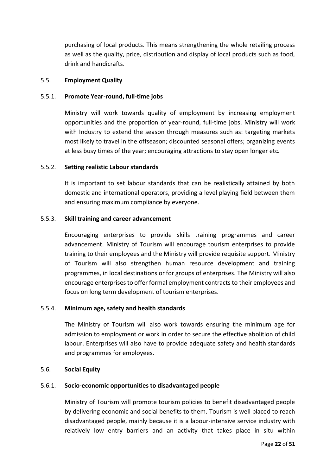purchasing of local products. This means strengthening the whole retailing process as well as the quality, price, distribution and display of local products such as food, drink and handicrafts.

#### <span id="page-23-0"></span>5.5. **Employment Quality**

# 5.5.1. **Promote Year-round, full-time jobs**

Ministry will work towards quality of employment by increasing employment opportunities and the proportion of year-round, full-time jobs. Ministry will work with Industry to extend the season through measures such as: targeting markets most likely to travel in the offseason; discounted seasonal offers; organizing events at less busy times of the year; encouraging attractions to stay open longer etc.

# 5.5.2. **Setting realistic Labour standards**

It is important to set labour standards that can be realistically attained by both domestic and international operators, providing a level playing field between them and ensuring maximum compliance by everyone.

# 5.5.3. **Skill training and career advancement**

Encouraging enterprises to provide skills training programmes and career advancement. Ministry of Tourism will encourage tourism enterprises to provide training to their employees and the Ministry will provide requisite support. Ministry of Tourism will also strengthen human resource development and training programmes, in local destinations or for groups of enterprises. The Ministry will also encourage enterprises to offer formal employment contracts to their employees and focus on long term development of tourism enterprises.

# 5.5.4. **Minimum age, safety and health standards**

The Ministry of Tourism will also work towards ensuring the minimum age for admission to employment or work in order to secure the effective abolition of child labour. Enterprises will also have to provide adequate safety and health standards and programmes for employees.

#### <span id="page-23-1"></span>5.6. **Social Equity**

#### 5.6.1. **Socio-economic opportunities to disadvantaged people**

Ministry of Tourism will promote tourism policies to benefit disadvantaged people by delivering economic and social benefits to them. Tourism is well placed to reach disadvantaged people, mainly because it is a labour-intensive service industry with relatively low entry barriers and an activity that takes place in situ within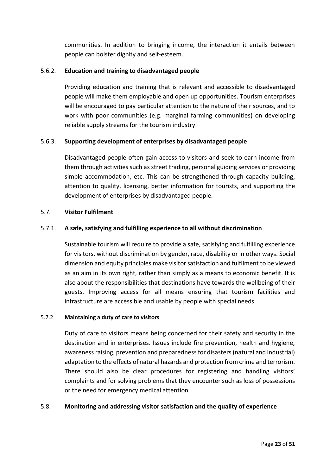communities. In addition to bringing income, the interaction it entails between people can bolster dignity and self-esteem.

# 5.6.2. **Education and training to disadvantaged people**

Providing education and training that is relevant and accessible to disadvantaged people will make them employable and open up opportunities. Tourism enterprises will be encouraged to pay particular attention to the nature of their sources, and to work with poor communities (e.g. marginal farming communities) on developing reliable supply streams for the tourism industry.

# 5.6.3. **Supporting development of enterprises by disadvantaged people**

Disadvantaged people often gain access to visitors and seek to earn income from them through activities such as street trading, personal guiding services or providing simple accommodation, etc. This can be strengthened through capacity building, attention to quality, licensing, better information for tourists, and supporting the development of enterprises by disadvantaged people.

#### <span id="page-24-0"></span>5.7. **Visitor Fulfilment**

# 5.7.1. **A safe, satisfying and fulfilling experience to all without discrimination**

Sustainable tourism will require to provide a safe, satisfying and fulfilling experience for visitors, without discrimination by gender, race, disability or in other ways. Social dimension and equity principles make visitor satisfaction and fulfilment to be viewed as an aim in its own right, rather than simply as a means to economic benefit. It is also about the responsibilities that destinations have towards the wellbeing of their guests. Improving access for all means ensuring that tourism facilities and infrastructure are accessible and usable by people with special needs.

#### 5.7.2. **Maintaining a duty of care to visitors**

Duty of care to visitors means being concerned for their safety and security in the destination and in enterprises. Issues include fire prevention, health and hygiene, awareness raising, prevention and preparedness for disasters (natural and industrial) adaptation to the effects of natural hazards and protection from crime and terrorism. There should also be clear procedures for registering and handling visitors' complaints and for solving problems that they encounter such as loss of possessions or the need for emergency medical attention.

#### <span id="page-24-1"></span>5.8. **Monitoring and addressing visitor satisfaction and the quality of experience**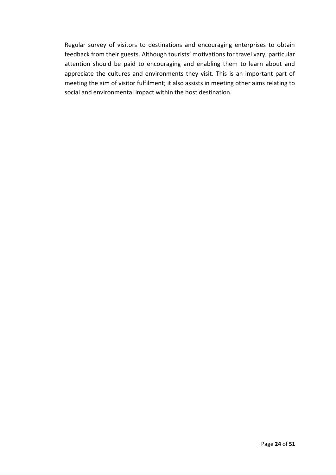Regular survey of visitors to destinations and encouraging enterprises to obtain feedback from their guests. Although tourists' motivations for travel vary, particular attention should be paid to encouraging and enabling them to learn about and appreciate the cultures and environments they visit. This is an important part of meeting the aim of visitor fulfilment; it also assists in meeting other aims relating to social and environmental impact within the host destination.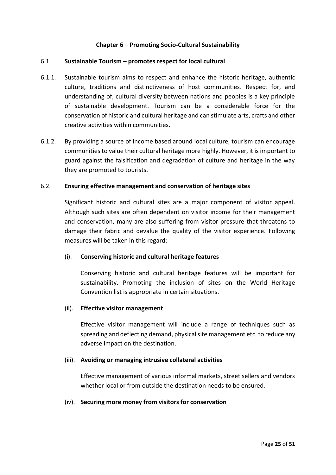# **Chapter 6 – Promoting Socio-Cultural Sustainability**

#### <span id="page-26-1"></span><span id="page-26-0"></span>6.1. **Sustainable Tourism – promotes respect for local cultural**

- 6.1.1. Sustainable tourism aims to respect and enhance the historic heritage, authentic culture, traditions and distinctiveness of host communities. Respect for, and understanding of, cultural diversity between nations and peoples is a key principle of sustainable development. Tourism can be a considerable force for the conservation of historic and cultural heritage and can stimulate arts, crafts and other creative activities within communities.
- 6.1.2. By providing a source of income based around local culture, tourism can encourage communities to value their cultural heritage more highly. However, it is important to guard against the falsification and degradation of culture and heritage in the way they are promoted to tourists.

#### <span id="page-26-2"></span>6.2. **Ensuring effective management and conservation of heritage sites**

Significant historic and cultural sites are a major component of visitor appeal. Although such sites are often dependent on visitor income for their management and conservation, many are also suffering from visitor pressure that threatens to damage their fabric and devalue the quality of the visitor experience. Following measures will be taken in this regard:

#### (i). **Conserving historic and cultural heritage features**

Conserving historic and cultural heritage features will be important for sustainability. Promoting the inclusion of sites on the World Heritage Convention list is appropriate in certain situations.

#### (ii). **Effective visitor management**

Effective visitor management will include a range of techniques such as spreading and deflecting demand, physical site management etc. to reduce any adverse impact on the destination.

#### (iii). **Avoiding or managing intrusive collateral activities**

Effective management of various informal markets, street sellers and vendors whether local or from outside the destination needs to be ensured.

#### (iv). **Securing more money from visitors for conservation**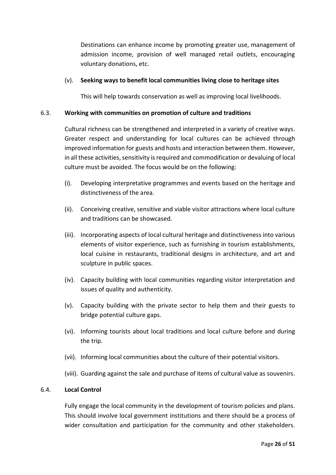Destinations can enhance income by promoting greater use, management of admission income, provision of well managed retail outlets, encouraging voluntary donations, etc.

#### (v). **Seeking ways to benefit local communities living close to heritage sites**

This will help towards conservation as well as improving local livelihoods.

# <span id="page-27-0"></span>6.3. **Working with communities on promotion of culture and traditions**

Cultural richness can be strengthened and interpreted in a variety of creative ways. Greater respect and understanding for local cultures can be achieved through improved information for guests and hosts and interaction between them. However, in all these activities, sensitivity is required and commodification or devaluing of local culture must be avoided. The focus would be on the following:

- (i). Developing interpretative programmes and events based on the heritage and distinctiveness of the area.
- (ii). Conceiving creative, sensitive and viable visitor attractions where local culture and traditions can be showcased.
- (iii). Incorporating aspects of local cultural heritage and distinctiveness into various elements of visitor experience, such as furnishing in tourism establishments, local cuisine in restaurants, traditional designs in architecture, and art and sculpture in public spaces.
- (iv). Capacity building with local communities regarding visitor interpretation and issues of quality and authenticity.
- (v). Capacity building with the private sector to help them and their guests to bridge potential culture gaps.
- (vi). Informing tourists about local traditions and local culture before and during the trip.
- (vii). Informing local communities about the culture of their potential visitors.
- (viii). Guarding against the sale and purchase of items of cultural value as souvenirs.

#### <span id="page-27-1"></span>6.4. **Local Control**

Fully engage the local community in the development of tourism policies and plans. This should involve local government institutions and there should be a process of wider consultation and participation for the community and other stakeholders.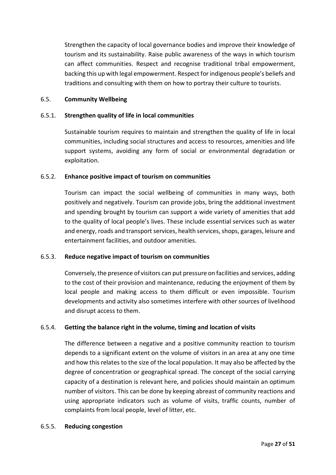Strengthen the capacity of local governance bodies and improve their knowledge of tourism and its sustainability. Raise public awareness of the ways in which tourism can affect communities. Respect and recognise traditional tribal empowerment, backing this up with legal empowerment. Respect for indigenous people's beliefs and traditions and consulting with them on how to portray their culture to tourists.

# <span id="page-28-0"></span>6.5. **Community Wellbeing**

# 6.5.1. **Strengthen quality of life in local communities**

Sustainable tourism requires to maintain and strengthen the quality of life in local communities, including social structures and access to resources, amenities and life support systems, avoiding any form of social or environmental degradation or exploitation.

# 6.5.2. **Enhance positive impact of tourism on communities**

Tourism can impact the social wellbeing of communities in many ways, both positively and negatively. Tourism can provide jobs, bring the additional investment and spending brought by tourism can support a wide variety of amenities that add to the quality of local people's lives. These include essential services such as water and energy, roads and transport services, health services, shops, garages, leisure and entertainment facilities, and outdoor amenities.

#### 6.5.3. **Reduce negative impact of tourism on communities**

Conversely, the presence of visitors can put pressure on facilities and services, adding to the cost of their provision and maintenance, reducing the enjoyment of them by local people and making access to them difficult or even impossible. Tourism developments and activity also sometimes interfere with other sources of livelihood and disrupt access to them.

#### 6.5.4. **Getting the balance right in the volume, timing and location of visits**

The difference between a negative and a positive community reaction to tourism depends to a significant extent on the volume of visitors in an area at any one time and how this relates to the size of the local population. It may also be affected by the degree of concentration or geographical spread. The concept of the social carrying capacity of a destination is relevant here, and policies should maintain an optimum number of visitors. This can be done by keeping abreast of community reactions and using appropriate indicators such as volume of visits, traffic counts, number of complaints from local people, level of litter, etc.

#### 6.5.5. **Reducing congestion**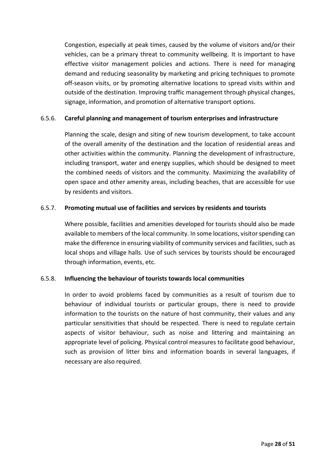Congestion, especially at peak times, caused by the volume of visitors and/or their vehicles, can be a primary threat to community wellbeing. It is important to have effective visitor management policies and actions. There is need for managing demand and reducing seasonality by marketing and pricing techniques to promote off-season visits, or by promoting alternative locations to spread visits within and outside of the destination. Improving traffic management through physical changes, signage, information, and promotion of alternative transport options.

### 6.5.6. **Careful planning and management of tourism enterprises and infrastructure**

Planning the scale, design and siting of new tourism development, to take account of the overall amenity of the destination and the location of residential areas and other activities within the community. Planning the development of infrastructure, including transport, water and energy supplies, which should be designed to meet the combined needs of visitors and the community. Maximizing the availability of open space and other amenity areas, including beaches, that are accessible for use by residents and visitors.

# 6.5.7. **Promoting mutual use of facilities and services by residents and tourists**

Where possible, facilities and amenities developed for tourists should also be made available to members of the local community. In some locations, visitor spending can make the difference in ensuring viability of community services and facilities, such as local shops and village halls. Use of such services by tourists should be encouraged through information, events, etc.

# 6.5.8. **Influencing the behaviour of tourists towards local communities**

In order to avoid problems faced by communities as a result of tourism due to behaviour of individual tourists or particular groups, there is need to provide information to the tourists on the nature of host community, their values and any particular sensitivities that should be respected. There is need to regulate certain aspects of visitor behaviour, such as noise and littering and maintaining an appropriate level of policing. Physical control measures to facilitate good behaviour, such as provision of litter bins and information boards in several languages, if necessary are also required.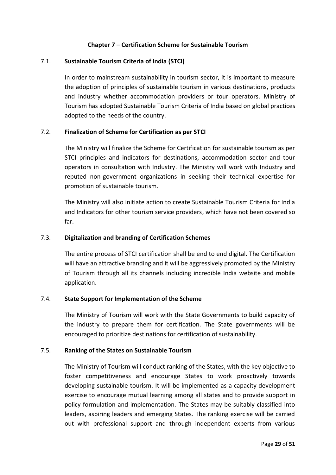#### **Chapter 7 – Certification Scheme for Sustainable Tourism**

#### <span id="page-30-0"></span>7.1. **Sustainable Tourism Criteria of India (STCI)**

<span id="page-30-1"></span>In order to mainstream sustainability in tourism sector, it is important to measure the adoption of principles of sustainable tourism in various destinations, products and industry whether accommodation providers or tour operators. Ministry of Tourism has adopted Sustainable Tourism Criteria of India based on global practices adopted to the needs of the country.

# <span id="page-30-2"></span>7.2. **Finalization of Scheme for Certification as per STCI**

The Ministry will finalize the Scheme for Certification for sustainable tourism as per STCI principles and indicators for destinations, accommodation sector and tour operators in consultation with Industry. The Ministry will work with Industry and reputed non-government organizations in seeking their technical expertise for promotion of sustainable tourism.

The Ministry will also initiate action to create Sustainable Tourism Criteria for India and Indicators for other tourism service providers, which have not been covered so far.

#### <span id="page-30-3"></span>7.3. **Digitalization and branding of Certification Schemes**

The entire process of STCI certification shall be end to end digital. The Certification will have an attractive branding and it will be aggressively promoted by the Ministry of Tourism through all its channels including incredible India website and mobile application.

#### <span id="page-30-4"></span>7.4. **State Support for Implementation of the Scheme**

The Ministry of Tourism will work with the State Governments to build capacity of the industry to prepare them for certification. The State governments will be encouraged to prioritize destinations for certification of sustainability.

#### <span id="page-30-5"></span>7.5. **Ranking of the States on Sustainable Tourism**

The Ministry of Tourism will conduct ranking of the States, with the key objective to foster competitiveness and encourage States to work proactively towards developing sustainable tourism. It will be implemented as a capacity development exercise to encourage mutual learning among all states and to provide support in policy formulation and implementation. The States may be suitably classified into leaders, aspiring leaders and emerging States. The ranking exercise will be carried out with professional support and through independent experts from various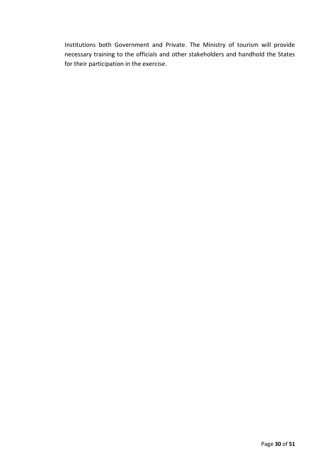Institutions both Government and Private. The Ministry of tourism will provide necessary training to the officials and other stakeholders and handhold the States for their participation in the exercise.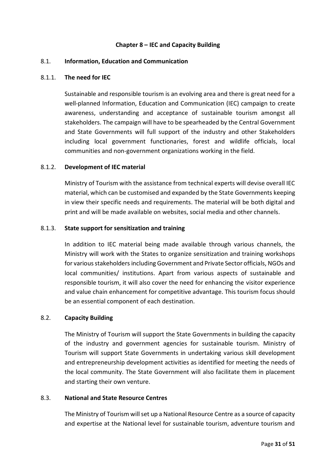#### **Chapter 8 – IEC and Capacity Building**

#### <span id="page-32-1"></span><span id="page-32-0"></span>8.1. **Information, Education and Communication**

#### 8.1.1. **The need for IEC**

Sustainable and responsible tourism is an evolving area and there is great need for a well-planned Information, Education and Communication (IEC) campaign to create awareness, understanding and acceptance of sustainable tourism amongst all stakeholders. The campaign will have to be spearheaded by the Central Government and State Governments will full support of the industry and other Stakeholders including local government functionaries, forest and wildlife officials, local communities and non-government organizations working in the field.

#### 8.1.2. **Development of IEC material**

Ministry of Tourism with the assistance from technical experts will devise overall IEC material, which can be customised and expanded by the State Governments keeping in view their specific needs and requirements. The material will be both digital and print and will be made available on websites, social media and other channels.

#### 8.1.3. **State support for sensitization and training**

In addition to IEC material being made available through various channels, the Ministry will work with the States to organize sensitization and training workshops for various stakeholders including Government and Private Sector officials, NGOs and local communities/ institutions. Apart from various aspects of sustainable and responsible tourism, it will also cover the need for enhancing the visitor experience and value chain enhancement for competitive advantage. This tourism focus should be an essential component of each destination.

# <span id="page-32-2"></span>8.2. **Capacity Building**

The Ministry of Tourism will support the State Governments in building the capacity of the industry and government agencies for sustainable tourism. Ministry of Tourism will support State Governments in undertaking various skill development and entrepreneurship development activities as identified for meeting the needs of the local community. The State Government will also facilitate them in placement and starting their own venture.

#### <span id="page-32-3"></span>8.3. **National and State Resource Centres**

The Ministry of Tourism will set up a National Resource Centre as a source of capacity and expertise at the National level for sustainable tourism, adventure tourism and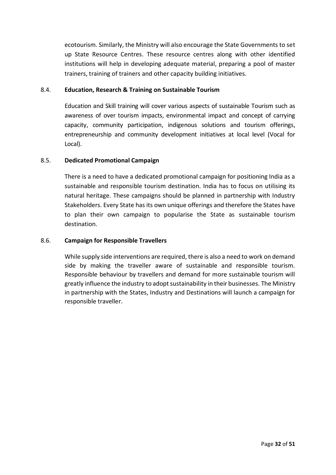ecotourism. Similarly, the Ministry will also encourage the State Governments to set up State Resource Centres. These resource centres along with other identified institutions will help in developing adequate material, preparing a pool of master trainers, training of trainers and other capacity building initiatives.

# <span id="page-33-0"></span>8.4. **Education, Research & Training on Sustainable Tourism**

Education and Skill training will cover various aspects of sustainable Tourism such as awareness of over tourism impacts, environmental impact and concept of carrying capacity, community participation, indigenous solutions and tourism offerings, entrepreneurship and community development initiatives at local level (Vocal for Local).

# <span id="page-33-1"></span>8.5. **Dedicated Promotional Campaign**

There is a need to have a dedicated promotional campaign for positioning India as a sustainable and responsible tourism destination. India has to focus on utilising its natural heritage. These campaigns should be planned in partnership with Industry Stakeholders. Every State has its own unique offerings and therefore the States have to plan their own campaign to popularise the State as sustainable tourism destination.

# <span id="page-33-2"></span>8.6. **Campaign for Responsible Travellers**

While supply side interventions are required, there is also a need to work on demand side by making the traveller aware of sustainable and responsible tourism. Responsible behaviour by travellers and demand for more sustainable tourism will greatly influence the industry to adopt sustainability in their businesses. The Ministry in partnership with the States, Industry and Destinations will launch a campaign for responsible traveller.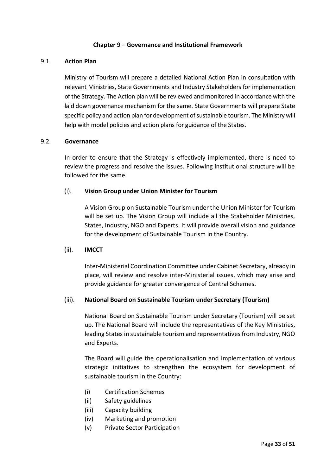#### **Chapter 9 – Governance and Institutional Framework**

#### <span id="page-34-0"></span>9.1. **Action Plan**

<span id="page-34-1"></span>Ministry of Tourism will prepare a detailed National Action Plan in consultation with relevant Ministries, State Governments and Industry Stakeholders for implementation of the Strategy. The Action plan will be reviewed and monitored in accordance with the laid down governance mechanism for the same. State Governments will prepare State specific policy and action plan for development of sustainable tourism. The Ministry will help with model policies and action plans for guidance of the States.

#### <span id="page-34-2"></span>9.2. **Governance**

In order to ensure that the Strategy is effectively implemented, there is need to review the progress and resolve the issues. Following institutional structure will be followed for the same.

# (i). **Vision Group under Union Minister for Tourism**

A Vision Group on Sustainable Tourism under the Union Minister for Tourism will be set up. The Vision Group will include all the Stakeholder Ministries, States, Industry, NGO and Experts. It will provide overall vision and guidance for the development of Sustainable Tourism in the Country.

#### (ii). **IMCCT**

Inter-Ministerial Coordination Committee under Cabinet Secretary, already in place, will review and resolve inter-Ministerial issues, which may arise and provide guidance for greater convergence of Central Schemes.

#### (iii). **National Board on Sustainable Tourism under Secretary (Tourism)**

National Board on Sustainable Tourism under Secretary (Tourism) will be set up. The National Board will include the representatives of the Key Ministries, leading States in sustainable tourism and representatives from Industry, NGO and Experts.

The Board will guide the operationalisation and implementation of various strategic initiatives to strengthen the ecosystem for development of sustainable tourism in the Country:

- (i) Certification Schemes
- (ii) Safety guidelines
- (iii) Capacity building
- (iv) Marketing and promotion
- (v) Private Sector Participation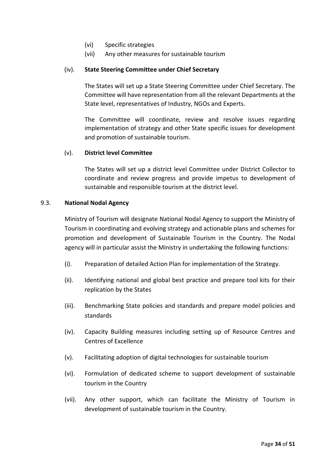- (vi) Specific strategies
- (vii) Any other measures for sustainable tourism

# (iv). **State Steering Committee under Chief Secretary**

The States will set up a State Steering Committee under Chief Secretary. The Committee will have representation from all the relevant Departments at the State level, representatives of Industry, NGOs and Experts.

The Committee will coordinate, review and resolve issues regarding implementation of strategy and other State specific issues for development and promotion of sustainable tourism.

#### (v). **District level Committee**

The States will set up a district level Committee under District Collector to coordinate and review progress and provide impetus to development of sustainable and responsible tourism at the district level.

#### <span id="page-35-0"></span>9.3. **National Nodal Agency**

Ministry of Tourism will designate National Nodal Agency to support the Ministry of Tourism in coordinating and evolving strategy and actionable plans and schemes for promotion and development of Sustainable Tourism in the Country. The Nodal agency will in particular assist the Ministry in undertaking the following functions:

- (i). Preparation of detailed Action Plan for implementation of the Strategy.
- (ii). Identifying national and global best practice and prepare tool kits for their replication by the States
- (iii). Benchmarking State policies and standards and prepare model policies and standards
- (iv). Capacity Building measures including setting up of Resource Centres and Centres of Excellence
- (v). Facilitating adoption of digital technologies for sustainable tourism
- (vi). Formulation of dedicated scheme to support development of sustainable tourism in the Country
- (vii). Any other support, which can facilitate the Ministry of Tourism in development of sustainable tourism in the Country.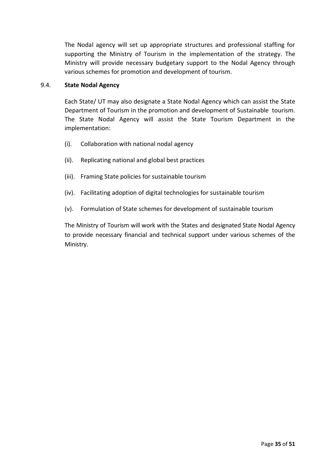The Nodal agency will set up appropriate structures and professional staffing for supporting the Ministry of Tourism in the implementation of the strategy. The Ministry will provide necessary budgetary support to the Nodal Agency through various schemes for promotion and development of tourism.

#### <span id="page-36-0"></span>9.4. **State Nodal Agency**

Each State/ UT may also designate a State Nodal Agency which can assist the State Department of Tourism in the promotion and development of Sustainable tourism. The State Nodal Agency will assist the State Tourism Department in the implementation:

- (i). Collaboration with national nodal agency
- (ii). Replicating national and global best practices
- (iii). Framing State policies for sustainable tourism
- (iv). Facilitating adoption of digital technologies for sustainable tourism
- (v). Formulation of State schemes for development of sustainable tourism

The Ministry of Tourism will work with the States and designated State Nodal Agency to provide necessary financial and technical support under various schemes of the Ministry.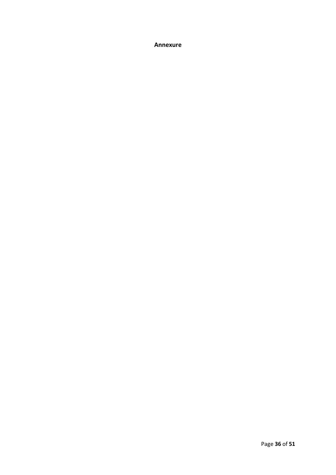<span id="page-37-0"></span>**Annexure**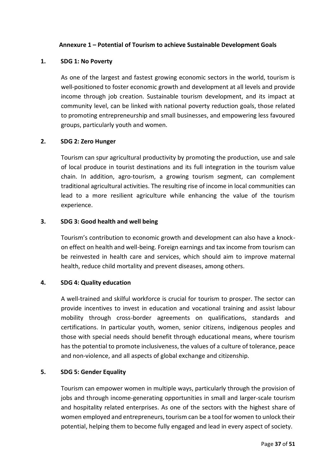#### **Annexure 1 – Potential of Tourism to achieve Sustainable Development Goals**

# <span id="page-38-0"></span>**1. SDG 1: No Poverty**

As one of the largest and fastest growing economic sectors in the world, tourism is well-positioned to foster economic growth and development at all levels and provide income through job creation. Sustainable tourism development, and its impact at community level, can be linked with national poverty reduction goals, those related to promoting entrepreneurship and small businesses, and empowering less favoured groups, particularly youth and women.

#### **2. SDG 2: Zero Hunger**

Tourism can spur agricultural productivity by promoting the production, use and sale of local produce in tourist destinations and its full integration in the tourism value chain. In addition, agro-tourism, a growing tourism segment, can complement traditional agricultural activities. The resulting rise of income in local communities can lead to a more resilient agriculture while enhancing the value of the tourism experience.

### **3. SDG 3: Good health and well being**

Tourism's contribution to economic growth and development can also have a knockon effect on health and well-being. Foreign earnings and tax income from tourism can be reinvested in health care and services, which should aim to improve maternal health, reduce child mortality and prevent diseases, among others.

# **4. SDG 4: Quality education**

A well-trained and skilful workforce is crucial for tourism to prosper. The sector can provide incentives to invest in education and vocational training and assist labour mobility through cross-border agreements on qualifications, standards and certifications. In particular youth, women, senior citizens, indigenous peoples and those with special needs should benefit through educational means, where tourism has the potential to promote inclusiveness, the values of a culture of tolerance, peace and non-violence, and all aspects of global exchange and citizenship.

#### **5. SDG 5: Gender Equality**

Tourism can empower women in multiple ways, particularly through the provision of jobs and through income-generating opportunities in small and larger-scale tourism and hospitality related enterprises. As one of the sectors with the highest share of women employed and entrepreneurs, tourism can be a tool for women to unlock their potential, helping them to become fully engaged and lead in every aspect of society.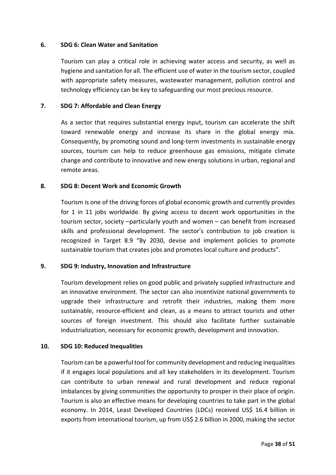#### **6. SDG 6: Clean Water and Sanitation**

Tourism can play a critical role in achieving water access and security, as well as hygiene and sanitation for all. The efficient use of water in the tourism sector, coupled with appropriate safety measures, wastewater management, pollution control and technology efficiency can be key to safeguarding our most precious resource.

#### **7. SDG 7: Affordable and Clean Energy**

As a sector that requires substantial energy input, tourism can accelerate the shift toward renewable energy and increase its share in the global energy mix. Consequently, by promoting sound and long-term investments in sustainable energy sources, tourism can help to reduce greenhouse gas emissions, mitigate climate change and contribute to innovative and new energy solutions in urban, regional and remote areas.

#### **8. SDG 8: Decent Work and Economic Growth**

Tourism is one of the driving forces of global economic growth and currently provides for 1 in 11 jobs worldwide. By giving access to decent work opportunities in the tourism sector, society –particularly youth and women – can benefit from increased skills and professional development. The sector's contribution to job creation is recognized in Target 8.9 "By 2030, devise and implement policies to promote sustainable tourism that creates jobs and promotes local culture and products".

#### **9. SDG 9: Industry, Innovation and Infrastructure**

Tourism development relies on good public and privately supplied infrastructure and an innovative environment. The sector can also incentivize national governments to upgrade their infrastructure and retrofit their industries, making them more sustainable, resource-efficient and clean, as a means to attract tourists and other sources of foreign investment. This should also facilitate further sustainable industrialization, necessary for economic growth, development and innovation.

#### **10. SDG 10: Reduced Inequalities**

Tourism can be a powerful tool for community development and reducing inequalities if it engages local populations and all key stakeholders in its development. Tourism can contribute to urban renewal and rural development and reduce regional imbalances by giving communities the opportunity to prosper in their place of origin. Tourism is also an effective means for developing countries to take part in the global economy. In 2014, Least Developed Countries (LDCs) received US\$ 16.4 billion in exports from international tourism, up from US\$ 2.6 billion in 2000, making the sector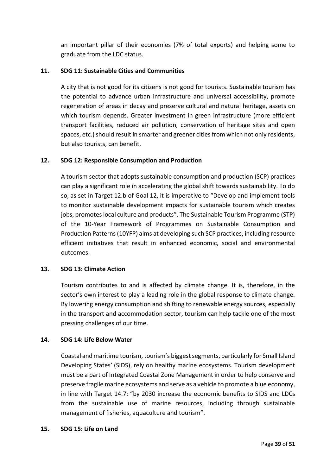an important pillar of their economies (7% of total exports) and helping some to graduate from the LDC status.

# **11. SDG 11: Sustainable Cities and Communities**

A city that is not good for its citizens is not good for tourists. Sustainable tourism has the potential to advance urban infrastructure and universal accessibility, promote regeneration of areas in decay and preserve cultural and natural heritage, assets on which tourism depends. Greater investment in green infrastructure (more efficient transport facilities, reduced air pollution, conservation of heritage sites and open spaces, etc.) should result in smarter and greener cities from which not only residents, but also tourists, can benefit.

# **12. SDG 12: Responsible Consumption and Production**

A tourism sector that adopts sustainable consumption and production (SCP) practices can play a significant role in accelerating the global shift towards sustainability. To do so, as set in Target 12.b of Goal 12, it is imperative to "Develop and implement tools to monitor sustainable development impacts for sustainable tourism which creates jobs, promotes local culture and products". The Sustainable Tourism Programme (STP) of the 10-Year Framework of Programmes on Sustainable Consumption and Production Patterns (10YFP) aims at developing such SCP practices, including resource efficient initiatives that result in enhanced economic, social and environmental outcomes.

#### **13. SDG 13: Climate Action**

Tourism contributes to and is affected by climate change. It is, therefore, in the sector's own interest to play a leading role in the global response to climate change. By lowering energy consumption and shifting to renewable energy sources, especially in the transport and accommodation sector, tourism can help tackle one of the most pressing challenges of our time.

#### **14. SDG 14: Life Below Water**

Coastal and maritime tourism, tourism's biggest segments, particularly for Small Island Developing States' (SIDS), rely on healthy marine ecosystems. Tourism development must be a part of Integrated Coastal Zone Management in order to help conserve and preserve fragile marine ecosystems and serve as a vehicle to promote a blue economy, in line with Target 14.7: "by 2030 increase the economic benefits to SIDS and LDCs from the sustainable use of marine resources, including through sustainable management of fisheries, aquaculture and tourism".

#### **15. SDG 15: Life on Land**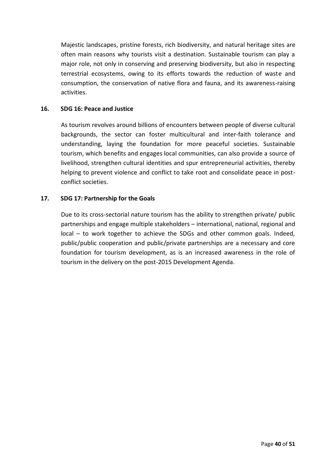Majestic landscapes, pristine forests, rich biodiversity, and natural heritage sites are often main reasons why tourists visit a destination. Sustainable tourism can play a major role, not only in conserving and preserving biodiversity, but also in respecting terrestrial ecosystems, owing to its efforts towards the reduction of waste and consumption, the conservation of native flora and fauna, and its awareness-raising activities.

#### **16. SDG 16: Peace and Justice**

As tourism revolves around billions of encounters between people of diverse cultural backgrounds, the sector can foster multicultural and inter-faith tolerance and understanding, laying the foundation for more peaceful societies. Sustainable tourism, which benefits and engages local communities, can also provide a source of livelihood, strengthen cultural identities and spur entrepreneurial activities, thereby helping to prevent violence and conflict to take root and consolidate peace in postconflict societies.

# **17. SDG 17: Partnership for the Goals**

Due to its cross-sectorial nature tourism has the ability to strengthen private/ public partnerships and engage multiple stakeholders – international, national, regional and local – to work together to achieve the SDGs and other common goals. Indeed, public/public cooperation and public/private partnerships are a necessary and core foundation for tourism development, as is an increased awareness in the role of tourism in the delivery on the post-2015 Development Agenda.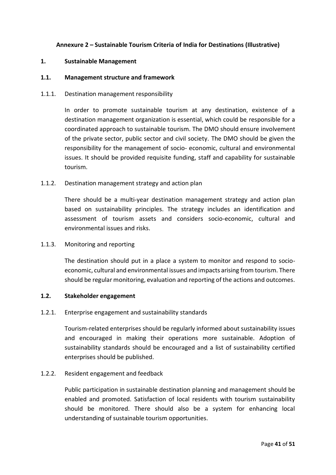# **Annexure 2 – Sustainable Tourism Criteria of India for Destinations (Illustrative)**

#### <span id="page-42-0"></span>**1. Sustainable Management**

#### **1.1. Management structure and framework**

#### 1.1.1. Destination management responsibility

In order to promote sustainable tourism at any destination, existence of a destination management organization is essential, which could be responsible for a coordinated approach to sustainable tourism. The DMO should ensure involvement of the private sector, public sector and civil society. The DMO should be given the responsibility for the management of socio- economic, cultural and environmental issues. It should be provided requisite funding, staff and capability for sustainable tourism.

#### 1.1.2. Destination management strategy and action plan

There should be a multi-year destination management strategy and action plan based on sustainability principles. The strategy includes an identification and assessment of tourism assets and considers socio-economic, cultural and environmental issues and risks.

#### 1.1.3. Monitoring and reporting

The destination should put in a place a system to monitor and respond to socioeconomic, cultural and environmental issues and impacts arising from tourism. There should be regular monitoring, evaluation and reporting of the actions and outcomes.

#### **1.2. Stakeholder engagement**

#### 1.2.1. Enterprise engagement and sustainability standards

Tourism-related enterprises should be regularly informed about sustainability issues and encouraged in making their operations more sustainable. Adoption of sustainability standards should be encouraged and a list of sustainability certified enterprises should be published.

#### 1.2.2. Resident engagement and feedback

Public participation in sustainable destination planning and management should be enabled and promoted. Satisfaction of local residents with tourism sustainability should be monitored. There should also be a system for enhancing local understanding of sustainable tourism opportunities.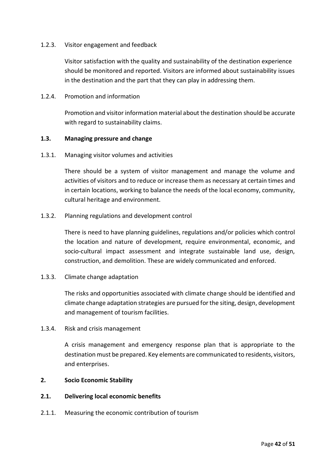#### 1.2.3. Visitor engagement and feedback

Visitor satisfaction with the quality and sustainability of the destination experience should be monitored and reported. Visitors are informed about sustainability issues in the destination and the part that they can play in addressing them.

1.2.4. Promotion and information

Promotion and visitor information material about the destination should be accurate with regard to sustainability claims.

#### **1.3. Managing pressure and change**

1.3.1. Managing visitor volumes and activities

There should be a system of visitor management and manage the volume and activities of visitors and to reduce or increase them as necessary at certain times and in certain locations, working to balance the needs of the local economy, community, cultural heritage and environment.

1.3.2. Planning regulations and development control

There is need to have planning guidelines, regulations and/or policies which control the location and nature of development, require environmental, economic, and socio-cultural impact assessment and integrate sustainable land use, design, construction, and demolition. These are widely communicated and enforced.

1.3.3. Climate change adaptation

The risks and opportunities associated with climate change should be identified and climate change adaptation strategies are pursued for the siting, design, development and management of tourism facilities.

1.3.4. Risk and crisis management

A crisis management and emergency response plan that is appropriate to the destination must be prepared. Key elements are communicated to residents, visitors, and enterprises.

#### **2. Socio Economic Stability**

#### **2.1. Delivering local economic benefits**

2.1.1. Measuring the economic contribution of tourism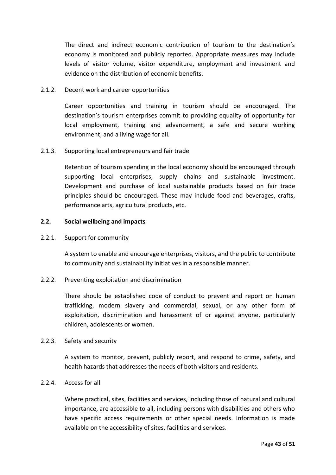The direct and indirect economic contribution of tourism to the destination's economy is monitored and publicly reported. Appropriate measures may include levels of visitor volume, visitor expenditure, employment and investment and evidence on the distribution of economic benefits.

#### 2.1.2. Decent work and career opportunities

Career opportunities and training in tourism should be encouraged. The destination's tourism enterprises commit to providing equality of opportunity for local employment, training and advancement, a safe and secure working environment, and a living wage for all.

#### 2.1.3. Supporting local entrepreneurs and fair trade

Retention of tourism spending in the local economy should be encouraged through supporting local enterprises, supply chains and sustainable investment. Development and purchase of local sustainable products based on fair trade principles should be encouraged. These may include food and beverages, crafts, performance arts, agricultural products, etc.

#### **2.2. Social wellbeing and impacts**

#### 2.2.1. Support for community

A system to enable and encourage enterprises, visitors, and the public to contribute to community and sustainability initiatives in a responsible manner.

#### 2.2.2. Preventing exploitation and discrimination

There should be established code of conduct to prevent and report on human trafficking, modern slavery and commercial, sexual, or any other form of exploitation, discrimination and harassment of or against anyone, particularly children, adolescents or women.

#### 2.2.3. Safety and security

A system to monitor, prevent, publicly report, and respond to crime, safety, and health hazards that addresses the needs of both visitors and residents.

#### 2.2.4. Access for all

Where practical, sites, facilities and services, including those of natural and cultural importance, are accessible to all, including persons with disabilities and others who have specific access requirements or other special needs. Information is made available on the accessibility of sites, facilities and services.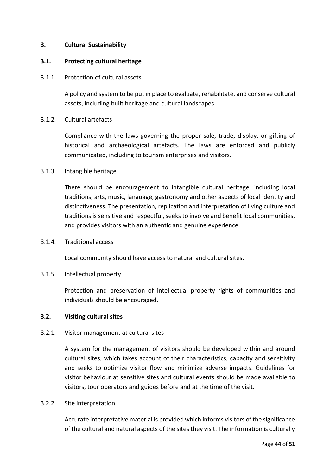#### **3. Cultural Sustainability**

#### **3.1. Protecting cultural heritage**

#### 3.1.1. Protection of cultural assets

A policy and system to be put in place to evaluate, rehabilitate, and conserve cultural assets, including built heritage and cultural landscapes.

# 3.1.2. Cultural artefacts

Compliance with the laws governing the proper sale, trade, display, or gifting of historical and archaeological artefacts. The laws are enforced and publicly communicated, including to tourism enterprises and visitors.

# 3.1.3. Intangible heritage

There should be encouragement to intangible cultural heritage, including local traditions, arts, music, language, gastronomy and other aspects of local identity and distinctiveness. The presentation, replication and interpretation of living culture and traditions is sensitive and respectful, seeks to involve and benefit local communities, and provides visitors with an authentic and genuine experience.

#### 3.1.4. Traditional access

Local community should have access to natural and cultural sites.

#### 3.1.5. Intellectual property

Protection and preservation of intellectual property rights of communities and individuals should be encouraged.

#### **3.2. Visiting cultural sites**

#### 3.2.1. Visitor management at cultural sites

A system for the management of visitors should be developed within and around cultural sites, which takes account of their characteristics, capacity and sensitivity and seeks to optimize visitor flow and minimize adverse impacts. Guidelines for visitor behaviour at sensitive sites and cultural events should be made available to visitors, tour operators and guides before and at the time of the visit.

#### 3.2.2. Site interpretation

Accurate interpretative material is provided which informs visitors of the significance of the cultural and natural aspects of the sites they visit. The information is culturally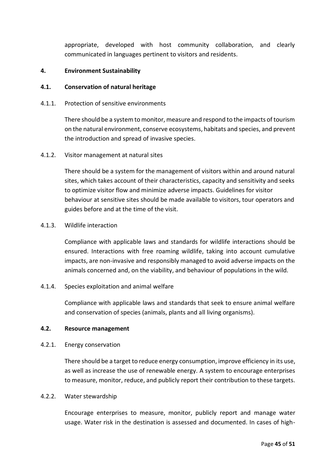appropriate, developed with host community collaboration, and clearly communicated in languages pertinent to visitors and residents.

#### **4. Environment Sustainability**

#### **4.1. Conservation of natural heritage**

4.1.1. Protection of sensitive environments

There should be a system to monitor, measure and respond to the impacts of tourism on the natural environment, conserve ecosystems, habitats and species, and prevent the introduction and spread of invasive species.

4.1.2. Visitor management at natural sites

There should be a system for the management of visitors within and around natural sites, which takes account of their characteristics, capacity and sensitivity and seeks to optimize visitor flow and minimize adverse impacts. Guidelines for visitor behaviour at sensitive sites should be made available to visitors, tour operators and guides before and at the time of the visit.

#### 4.1.3. Wildlife interaction

Compliance with applicable laws and standards for wildlife interactions should be ensured. Interactions with free roaming wildlife, taking into account cumulative impacts, are non-invasive and responsibly managed to avoid adverse impacts on the animals concerned and, on the viability, and behaviour of populations in the wild.

4.1.4. Species exploitation and animal welfare

Compliance with applicable laws and standards that seek to ensure animal welfare and conservation of species (animals, plants and all living organisms).

#### **4.2. Resource management**

4.2.1. Energy conservation

There should be a target to reduce energy consumption, improve efficiency in its use, as well as increase the use of renewable energy. A system to encourage enterprises to measure, monitor, reduce, and publicly report their contribution to these targets.

#### 4.2.2. Water stewardship

Encourage enterprises to measure, monitor, publicly report and manage water usage. Water risk in the destination is assessed and documented. In cases of high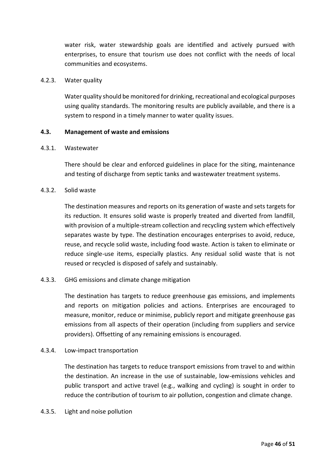water risk, water stewardship goals are identified and actively pursued with enterprises, to ensure that tourism use does not conflict with the needs of local communities and ecosystems.

#### 4.2.3. Water quality

Water quality should be monitored for drinking, recreational and ecological purposes using quality standards. The monitoring results are publicly available, and there is a system to respond in a timely manner to water quality issues.

#### **4.3. Management of waste and emissions**

#### 4.3.1. Wastewater

There should be clear and enforced guidelines in place for the siting, maintenance and testing of discharge from septic tanks and wastewater treatment systems.

#### 4.3.2. Solid waste

The destination measures and reports on its generation of waste and sets targets for its reduction. It ensures solid waste is properly treated and diverted from landfill, with provision of a multiple-stream collection and recycling system which effectively separates waste by type. The destination encourages enterprises to avoid, reduce, reuse, and recycle solid waste, including food waste. Action is taken to eliminate or reduce single-use items, especially plastics. Any residual solid waste that is not reused or recycled is disposed of safely and sustainably.

#### 4.3.3. GHG emissions and climate change mitigation

The destination has targets to reduce greenhouse gas emissions, and implements and reports on mitigation policies and actions. Enterprises are encouraged to measure, monitor, reduce or minimise, publicly report and mitigate greenhouse gas emissions from all aspects of their operation (including from suppliers and service providers). Offsetting of any remaining emissions is encouraged.

#### 4.3.4. Low-impact transportation

The destination has targets to reduce transport emissions from travel to and within the destination. An increase in the use of sustainable, low-emissions vehicles and public transport and active travel (e.g., walking and cycling) is sought in order to reduce the contribution of tourism to air pollution, congestion and climate change.

#### 4.3.5. Light and noise pollution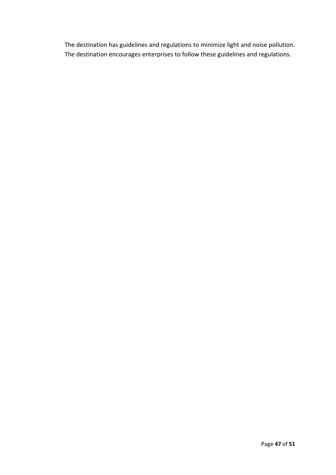The destination has guidelines and regulations to minimize light and noise pollution. The destination encourages enterprises to follow these guidelines and regulations.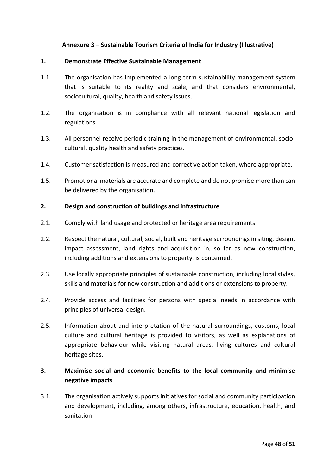# **Annexure 3 – Sustainable Tourism Criteria of India for Industry (Illustrative)**

#### <span id="page-49-0"></span>**1. Demonstrate Effective Sustainable Management**

- 1.1. The organisation has implemented a long-term sustainability management system that is suitable to its reality and scale, and that considers environmental, sociocultural, quality, health and safety issues.
- 1.2. The organisation is in compliance with all relevant national legislation and regulations
- 1.3. All personnel receive periodic training in the management of environmental, sociocultural, quality health and safety practices.
- 1.4. Customer satisfaction is measured and corrective action taken, where appropriate.
- 1.5. Promotional materials are accurate and complete and do not promise more than can be delivered by the organisation.

#### **2. Design and construction of buildings and infrastructure**

- 2.1. Comply with land usage and protected or heritage area requirements
- 2.2. Respect the natural, cultural, social, built and heritage surroundings in siting, design, impact assessment, land rights and acquisition in, so far as new construction, including additions and extensions to property, is concerned.
- 2.3. Use locally appropriate principles of sustainable construction, including local styles, skills and materials for new construction and additions or extensions to property.
- 2.4. Provide access and facilities for persons with special needs in accordance with principles of universal design.
- 2.5. Information about and interpretation of the natural surroundings, customs, local culture and cultural heritage is provided to visitors, as well as explanations of appropriate behaviour while visiting natural areas, living cultures and cultural heritage sites.

# **3. Maximise social and economic benefits to the local community and minimise negative impacts**

3.1. The organisation actively supports initiatives for social and community participation and development, including, among others, infrastructure, education, health, and sanitation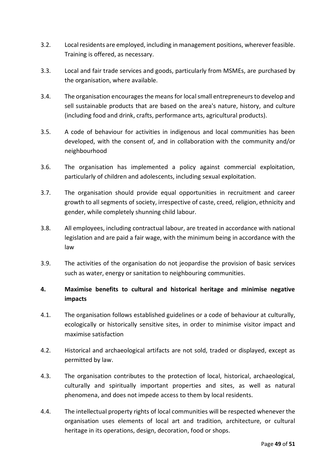- 3.2. Local residents are employed, including in management positions, wherever feasible. Training is offered, as necessary.
- 3.3. Local and fair trade services and goods, particularly from MSMEs, are purchased by the organisation, where available.
- 3.4. The organisation encourages the means for local small entrepreneurs to develop and sell sustainable products that are based on the area's nature, history, and culture (including food and drink, crafts, performance arts, agricultural products).
- 3.5. A code of behaviour for activities in indigenous and local communities has been developed, with the consent of, and in collaboration with the community and/or neighbourhood
- 3.6. The organisation has implemented a policy against commercial exploitation, particularly of children and adolescents, including sexual exploitation.
- 3.7. The organisation should provide equal opportunities in recruitment and career growth to all segments of society, irrespective of caste, creed, religion, ethnicity and gender, while completely shunning child labour.
- 3.8. All employees, including contractual labour, are treated in accordance with national legislation and are paid a fair wage, with the minimum being in accordance with the law
- 3.9. The activities of the organisation do not jeopardise the provision of basic services such as water, energy or sanitation to neighbouring communities.

# **4. Maximise benefits to cultural and historical heritage and minimise negative impacts**

- 4.1. The organisation follows established guidelines or a code of behaviour at culturally, ecologically or historically sensitive sites, in order to minimise visitor impact and maximise satisfaction
- 4.2. Historical and archaeological artifacts are not sold, traded or displayed, except as permitted by law.
- 4.3. The organisation contributes to the protection of local, historical, archaeological, culturally and spiritually important properties and sites, as well as natural phenomena, and does not impede access to them by local residents.
- 4.4. The intellectual property rights of local communities will be respected whenever the organisation uses elements of local art and tradition, architecture, or cultural heritage in its operations, design, decoration, food or shops.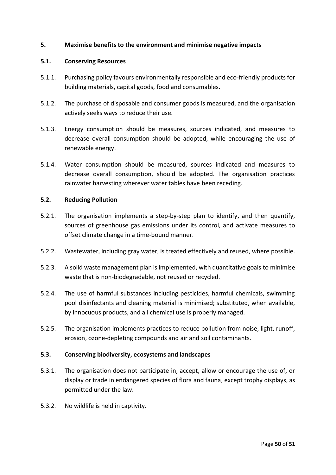#### **5. Maximise benefits to the environment and minimise negative impacts**

#### **5.1. Conserving Resources**

- 5.1.1. Purchasing policy favours environmentally responsible and eco-friendly products for building materials, capital goods, food and consumables.
- 5.1.2. The purchase of disposable and consumer goods is measured, and the organisation actively seeks ways to reduce their use.
- 5.1.3. Energy consumption should be measures, sources indicated, and measures to decrease overall consumption should be adopted, while encouraging the use of renewable energy.
- 5.1.4. Water consumption should be measured, sources indicated and measures to decrease overall consumption, should be adopted. The organisation practices rainwater harvesting wherever water tables have been receding.

#### **5.2. Reducing Pollution**

- 5.2.1. The organisation implements a step-by-step plan to identify, and then quantify, sources of greenhouse gas emissions under its control, and activate measures to offset climate change in a time-bound manner.
- 5.2.2. Wastewater, including gray water, is treated effectively and reused, where possible.
- 5.2.3. A solid waste management plan is implemented, with quantitative goals to minimise waste that is non-biodegradable, not reused or recycled.
- 5.2.4. The use of harmful substances including pesticides, harmful chemicals, swimming pool disinfectants and cleaning material is minimised; substituted, when available, by innocuous products, and all chemical use is properly managed.
- 5.2.5. The organisation implements practices to reduce pollution from noise, light, runoff, erosion, ozone-depleting compounds and air and soil contaminants.

#### **5.3. Conserving biodiversity, ecosystems and landscapes**

- 5.3.1. The organisation does not participate in, accept, allow or encourage the use of, or display or trade in endangered species of flora and fauna, except trophy displays, as permitted under the law.
- 5.3.2. No wildlife is held in captivity.